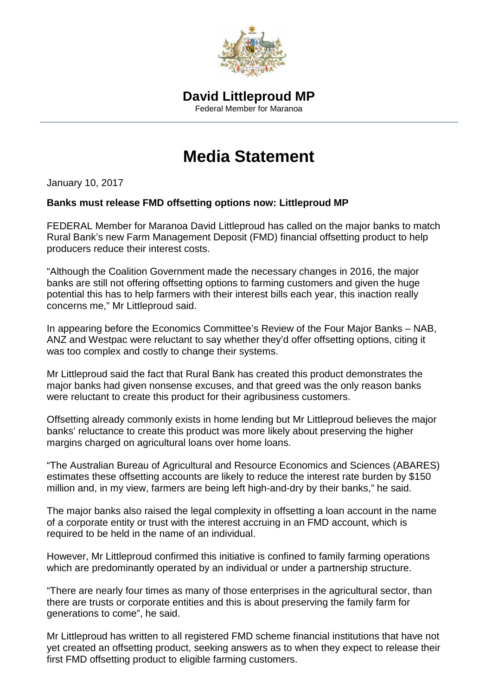

## **Media Statement**

January 10, 2017

## **Banks must release FMD offsetting options now: Littleproud MP**

FEDERAL Member for Maranoa David Littleproud has called on the major banks to match Rural Bank's new Farm Management Deposit (FMD) financial offsetting product to help producers reduce their interest costs.

"Although the Coalition Government made the necessary changes in 2016, the major banks are still not offering offsetting options to farming customers and given the huge potential this has to help farmers with their interest bills each year, this inaction really concerns me," Mr Littleproud said.

In appearing before the Economics Committee's Review of the Four Major Banks – NAB, ANZ and Westpac were reluctant to say whether they'd offer offsetting options, citing it was too complex and costly to change their systems.

Mr Littleproud said the fact that Rural Bank has created this product demonstrates the major banks had given nonsense excuses, and that greed was the only reason banks were reluctant to create this product for their agribusiness customers.

Offsetting already commonly exists in home lending but Mr Littleproud believes the major banks' reluctance to create this product was more likely about preserving the higher margins charged on agricultural loans over home loans.

"The Australian Bureau of Agricultural and Resource Economics and Sciences (ABARES) estimates these offsetting accounts are likely to reduce the interest rate burden by \$150 million and, in my view, farmers are being left high-and-dry by their banks," he said.

The major banks also raised the legal complexity in offsetting a loan account in the name of a corporate entity or trust with the interest accruing in an FMD account, which is required to be held in the name of an individual.

However, Mr Littleproud confirmed this initiative is confined to family farming operations which are predominantly operated by an individual or under a partnership structure.

"There are nearly four times as many of those enterprises in the agricultural sector, than there are trusts or corporate entities and this is about preserving the family farm for generations to come", he said.

Mr Littleproud has written to all registered FMD scheme financial institutions that have not yet created an offsetting product, seeking answers as to when they expect to release their first FMD offsetting product to eligible farming customers.